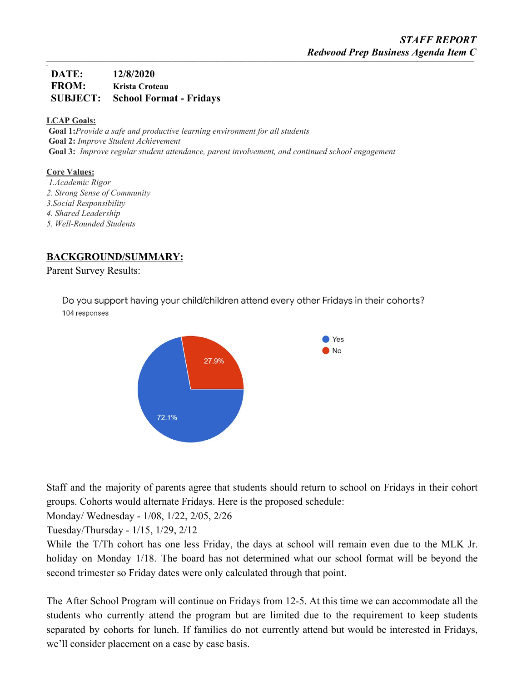# **DATE: 12/8/2020 FROM: Krista Croteau SUBJECT: School Format - Fridays**

### **LCAP Goals:**

*\_*

**Goal 1:***Provide a safe and productive learning environment for all students* **Goal 2:** *Improve Student Achievement* **Goal 3:** *Improve regular student attendance, parent involvement, and continued school engagement*

### **Core Values:**

- *1.Academic Rigor 2. Strong Sense of Community 3.Social Responsibility 4. Shared Leadership*
- *5. Well-Rounded Students*

### **BACKGROUND/SUMMARY:**

Parent Survey Results:

Do you support having your child/children attend every other Fridays in their cohorts? 104 responses



Staff and the majority of parents agree that students should return to school on Fridays in their cohort groups. Cohorts would alternate Fridays. Here is the proposed schedule:

Monday/ Wednesday - 1/08, 1/22, 2/05, 2/26

Tuesday/Thursday - 1/15, 1/29, 2/12

While the T/Th cohort has one less Friday, the days at school will remain even due to the MLK Jr. holiday on Monday 1/18. The board has not determined what our school format will be beyond the second trimester so Friday dates were only calculated through that point.

The After School Program will continue on Fridays from 12-5. At this time we can accommodate all the students who currently attend the program but are limited due to the requirement to keep students separated by cohorts for lunch. If families do not currently attend but would be interested in Fridays, we'll consider placement on a case by case basis.